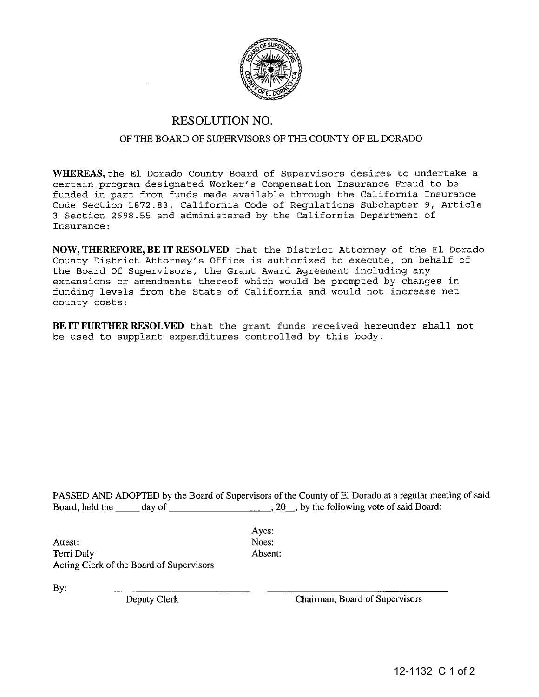

## RESOLUTION NO.

## OF THE BOARD OF SUPERVISORS OF THE COUNTY OF EL DORADO

WHEREAS, the El Dorado County Board of Supervisors desires to undertake a certain program designated Worker's Compensation Insurance Fraud to be funded in part from funds made available through the California Insurance Code Section 1872.83, California Code of Regulations Subchapter 9, Article 3 Section 2698.55 and administered by the California Department of Insurance:

NOW, THEREFORE, BE IT RESOLVED that the District Attorney of the El Dorado County District Attorney's Office is authorized to execute, on behalf of the Board Of Supervisors, the Grant Award Agreement including any extensions or amendments thereof which would be prompted by changes in funding levels from the State of California and would not increase net county costs:

BE IT FURTHER RESOLVED that the grant funds received hereunder shall not be used to supplant expenditures controlled by this body.

PASSED AND ADOPTED by the Board of Supervisors of the County of El Dorado at a regular meeting of said Board, held the \_\_ day of ,20\_, by the following vote of said Board:

Attest: Noes: Terri Daly **Absent:** Acting Clerk of the Board of Supervisors

Ayes:

 $B_{\mathcal{V}}$ :

Deputy Clerk Chairman, Board of Supervisors